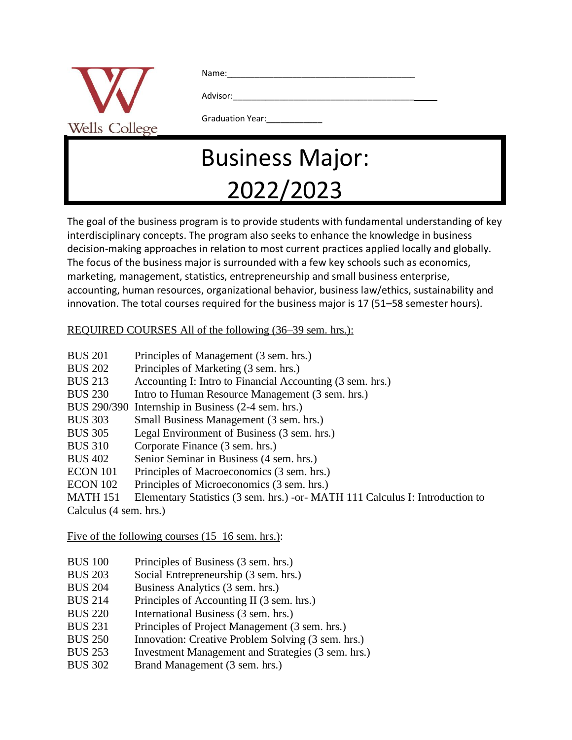| Wells<br>College |  |
|------------------|--|

Name:

Advisor:

## Graduation Year:

## Business Major: 2022/2023

The goal of the business program is to provide students with fundamental understanding of key interdisciplinary concepts. The program also seeks to enhance the knowledge in business decision-making approaches in relation to most current practices applied locally and globally. The focus of the business major is surrounded with a few key schools such as economics, marketing, management, statistics, entrepreneurship and small business enterprise, accounting, human resources, organizational behavior, business law/ethics, sustainability and innovation. The total courses required for the business major is 17 (51–58 semester hours).

REQUIRED COURSES All of the following (36–39 sem. hrs.):

| Principles of Management (3 sem. hrs.)                                          |  |
|---------------------------------------------------------------------------------|--|
| Principles of Marketing (3 sem. hrs.)                                           |  |
| Accounting I: Intro to Financial Accounting (3 sem. hrs.)                       |  |
| Intro to Human Resource Management (3 sem. hrs.)                                |  |
| BUS 290/390 Internship in Business (2-4 sem. hrs.)                              |  |
| Small Business Management (3 sem. hrs.)                                         |  |
| Legal Environment of Business (3 sem. hrs.)                                     |  |
| Corporate Finance (3 sem. hrs.)                                                 |  |
| Senior Seminar in Business (4 sem. hrs.)                                        |  |
| Principles of Macroeconomics (3 sem. hrs.)                                      |  |
| Principles of Microeconomics (3 sem. hrs.)                                      |  |
| Elementary Statistics (3 sem. hrs.) - or - MATH 111 Calculus I: Introduction to |  |
| Calculus (4 sem. hrs.)                                                          |  |
|                                                                                 |  |

Five of the following courses (15–16 sem. hrs.):

- BUS 100 Principles of Business (3 sem. hrs.)
- BUS 203 Social Entrepreneurship (3 sem. hrs.)
- BUS 204 Business Analytics (3 sem. hrs.)
- BUS 214 Principles of Accounting II (3 sem. hrs.)
- BUS 220 International Business (3 sem. hrs.)
- BUS 231 Principles of Project Management (3 sem. hrs.)
- BUS 250 Innovation: Creative Problem Solving (3 sem. hrs.)
- BUS 253 Investment Management and Strategies (3 sem. hrs.)
- BUS 302 Brand Management (3 sem. hrs.)